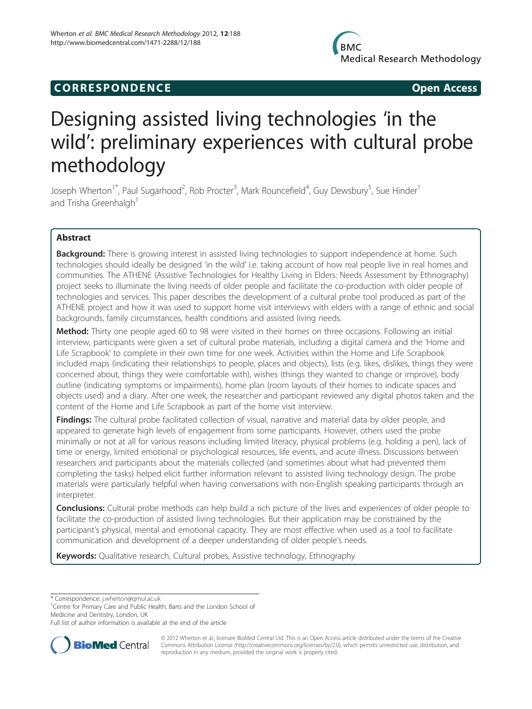## **CORRESPONDENCE CORRESPONDENCE**

# Designing assisted living technologies 'in the wild': preliminary experiences with cultural probe methodology

Joseph Wherton<sup>1\*</sup>, Paul Sugarhood<sup>2</sup>, Rob Procter<sup>3</sup>, Mark Rouncefield<sup>4</sup>, Guy Dewsbury<sup>5</sup>, Sue Hinder<sup>1</sup> and Trisha Greenhalgh<sup>1</sup>

## Abstract

Background: There is growing interest in assisted living technologies to support independence at home. Such technologies should ideally be designed 'in the wild' i.e. taking account of how real people live in real homes and communities. The ATHENE (Assistive Technologies for Healthy Living in Elders: Needs Assessment by Ethnography) project seeks to illuminate the living needs of older people and facilitate the co-production with older people of technologies and services. This paper describes the development of a cultural probe tool produced as part of the ATHENE project and how it was used to support home visit interviews with elders with a range of ethnic and social backgrounds, family circumstances, health conditions and assisted living needs.

Method: Thirty one people aged 60 to 98 were visited in their homes on three occasions. Following an initial interview, participants were given a set of cultural probe materials, including a digital camera and the 'Home and Life Scrapbook' to complete in their own time for one week. Activities within the Home and Life Scrapbook included maps (indicating their relationships to people, places and objects), lists (e.g. likes, dislikes, things they were concerned about, things they were comfortable with), wishes (things they wanted to change or improve), body outline (indicating symptoms or impairments), home plan (room layouts of their homes to indicate spaces and objects used) and a diary. After one week, the researcher and participant reviewed any digital photos taken and the content of the Home and Life Scrapbook as part of the home visit interview.

Findings: The cultural probe facilitated collection of visual, narrative and material data by older people, and appeared to generate high levels of engagement from some participants. However, others used the probe minimally or not at all for various reasons including limited literacy, physical problems (e.g. holding a pen), lack of time or energy, limited emotional or psychological resources, life events, and acute illness. Discussions between researchers and participants about the materials collected (and sometimes about what had prevented them completing the tasks) helped elicit further information relevant to assisted living technology design. The probe materials were particularly helpful when having conversations with non-English speaking participants through an interpreter.

**Conclusions:** Cultural probe methods can help build a rich picture of the lives and experiences of older people to facilitate the co-production of assisted living technologies. But their application may be constrained by the participant's physical, mental and emotional capacity. They are most effective when used as a tool to facilitate communication and development of a deeper understanding of older people's needs.

Keywords: Qualitative research, Cultural probes, Assistive technology, Ethnography

\* Correspondence: [j.wherton@qmul.ac.uk](mailto:j.wherton@qmul.ac.uk) <sup>1</sup>

<sup>1</sup> Centre for Primary Care and Public Health, Barts and the London School of Medicine and Dentistry, London, UK

Full list of author information is available at the end of the article



© 2012 Wherton et al.; licensee BioMed Central Ltd. This is an Open Access article distributed under the terms of the Creative Commons Attribution License [\(http://creativecommons.org/licenses/by/2.0\)](http://creativecommons.org/licenses/by/2.0), which permits unrestricted use, distribution, and reproduction in any medium, provided the original work is properly cited.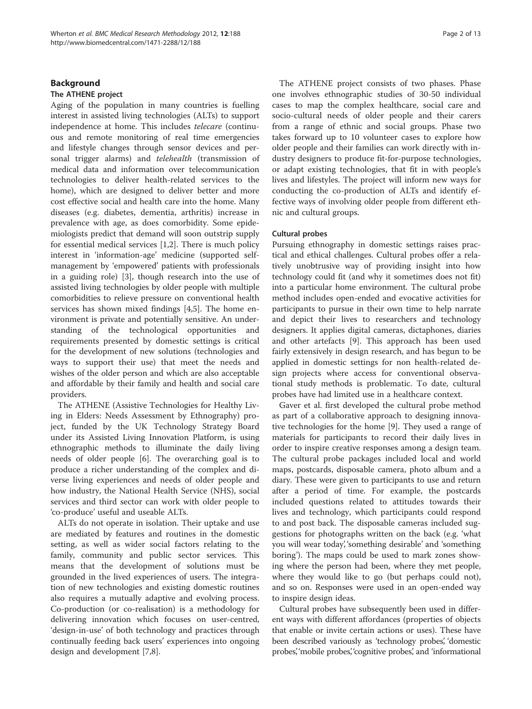#### Background

#### The ATHENE project

Aging of the population in many countries is fuelling interest in assisted living technologies (ALTs) to support independence at home. This includes telecare (continuous and remote monitoring of real time emergencies and lifestyle changes through sensor devices and personal trigger alarms) and telehealth (transmission of medical data and information over telecommunication technologies to deliver health-related services to the home), which are designed to deliver better and more cost effective social and health care into the home. Many diseases (e.g. diabetes, dementia, arthritis) increase in prevalence with age, as does comorbidity. Some epidemiologists predict that demand will soon outstrip supply for essential medical services [\[1,2](#page-11-0)]. There is much policy interest in 'information-age' medicine (supported selfmanagement by 'empowered' patients with professionals in a guiding role) [[3\]](#page-11-0), though research into the use of assisted living technologies by older people with multiple comorbidities to relieve pressure on conventional health services has shown mixed findings [[4,5\]](#page-11-0). The home environment is private and potentially sensitive. An understanding of the technological opportunities and requirements presented by domestic settings is critical for the development of new solutions (technologies and ways to support their use) that meet the needs and wishes of the older person and which are also acceptable and affordable by their family and health and social care providers.

The ATHENE (Assistive Technologies for Healthy Living in Elders: Needs Assessment by Ethnography) project, funded by the UK Technology Strategy Board under its Assisted Living Innovation Platform, is using ethnographic methods to illuminate the daily living needs of older people [\[6](#page-11-0)]. The overarching goal is to produce a richer understanding of the complex and diverse living experiences and needs of older people and how industry, the National Health Service (NHS), social services and third sector can work with older people to 'co-produce' useful and useable ALTs.

ALTs do not operate in isolation. Their uptake and use are mediated by features and routines in the domestic setting, as well as wider social factors relating to the family, community and public sector services. This means that the development of solutions must be grounded in the lived experiences of users. The integration of new technologies and existing domestic routines also requires a mutually adaptive and evolving process. Co-production (or co-realisation) is a methodology for delivering innovation which focuses on user-centred, 'design-in-use' of both technology and practices through continually feeding back users' experiences into ongoing design and development [\[7](#page-11-0),[8](#page-11-0)].

The ATHENE project consists of two phases. Phase one involves ethnographic studies of 30-50 individual cases to map the complex healthcare, social care and socio-cultural needs of older people and their carers from a range of ethnic and social groups. Phase two takes forward up to 10 volunteer cases to explore how older people and their families can work directly with industry designers to produce fit-for-purpose technologies, or adapt existing technologies, that fit in with people's lives and lifestyles. The project will inform new ways for conducting the co-production of ALTs and identify effective ways of involving older people from different ethnic and cultural groups.

#### Cultural probes

Pursuing ethnography in domestic settings raises practical and ethical challenges. Cultural probes offer a relatively unobtrusive way of providing insight into how technology could fit (and why it sometimes does not fit) into a particular home environment. The cultural probe method includes open-ended and evocative activities for participants to pursue in their own time to help narrate and depict their lives to researchers and technology designers. It applies digital cameras, dictaphones, diaries and other artefacts [[9\]](#page-11-0). This approach has been used fairly extensively in design research, and has begun to be applied in domestic settings for non health-related design projects where access for conventional observational study methods is problematic. To date, cultural probes have had limited use in a healthcare context.

Gaver et al. first developed the cultural probe method as part of a collaborative approach to designing innovative technologies for the home [[9](#page-11-0)]. They used a range of materials for participants to record their daily lives in order to inspire creative responses among a design team. The cultural probe packages included local and world maps, postcards, disposable camera, photo album and a diary. These were given to participants to use and return after a period of time. For example, the postcards included questions related to attitudes towards their lives and technology, which participants could respond to and post back. The disposable cameras included suggestions for photographs written on the back (e.g. 'what you will wear today', 'something desirable' and 'something boring'). The maps could be used to mark zones showing where the person had been, where they met people, where they would like to go (but perhaps could not), and so on. Responses were used in an open-ended way to inspire design ideas.

Cultural probes have subsequently been used in different ways with different affordances (properties of objects that enable or invite certain actions or uses). These have been described variously as 'technology probes,' 'domestic probes,' 'mobile probes,' 'cognitive probes', and 'informational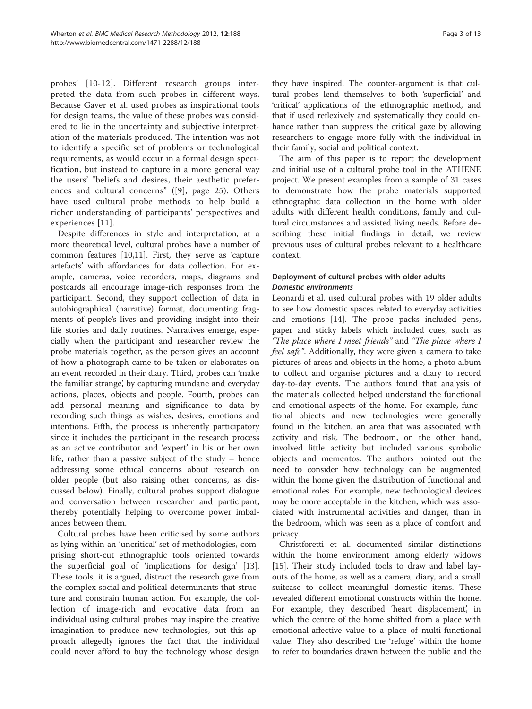probes' [\[10-12\]](#page-11-0). Different research groups interpreted the data from such probes in different ways. Because Gaver et al. used probes as inspirational tools for design teams, the value of these probes was considered to lie in the uncertainty and subjective interpretation of the materials produced. The intention was not to identify a specific set of problems or technological requirements, as would occur in a formal design specification, but instead to capture in a more general way the users' "beliefs and desires, their aesthetic preferences and cultural concerns" ([[9](#page-11-0)], page 25). Others have used cultural probe methods to help build a richer understanding of participants' perspectives and experiences [\[11\]](#page-11-0).

Despite differences in style and interpretation, at a more theoretical level, cultural probes have a number of common features [[10](#page-11-0),[11](#page-11-0)]. First, they serve as 'capture artefacts' with affordances for data collection. For example, cameras, voice recorders, maps, diagrams and postcards all encourage image-rich responses from the participant. Second, they support collection of data in autobiographical (narrative) format, documenting fragments of people's lives and providing insight into their life stories and daily routines. Narratives emerge, especially when the participant and researcher review the probe materials together, as the person gives an account of how a photograph came to be taken or elaborates on an event recorded in their diary. Third, probes can 'make the familiar strange', by capturing mundane and everyday actions, places, objects and people. Fourth, probes can add personal meaning and significance to data by recording such things as wishes, desires, emotions and intentions. Fifth, the process is inherently participatory since it includes the participant in the research process as an active contributor and 'expert' in his or her own life, rather than a passive subject of the study – hence addressing some ethical concerns about research on older people (but also raising other concerns, as discussed below). Finally, cultural probes support dialogue and conversation between researcher and participant, thereby potentially helping to overcome power imbalances between them.

Cultural probes have been criticised by some authors as lying within an 'uncritical' set of methodologies, comprising short-cut ethnographic tools oriented towards the superficial goal of 'implications for design' [\[13](#page-11-0)]. These tools, it is argued, distract the research gaze from the complex social and political determinants that structure and constrain human action. For example, the collection of image-rich and evocative data from an individual using cultural probes may inspire the creative imagination to produce new technologies, but this approach allegedly ignores the fact that the individual could never afford to buy the technology whose design they have inspired. The counter-argument is that cultural probes lend themselves to both 'superficial' and 'critical' applications of the ethnographic method, and that if used reflexively and systematically they could enhance rather than suppress the critical gaze by allowing researchers to engage more fully with the individual in their family, social and political context.

The aim of this paper is to report the development and initial use of a cultural probe tool in the ATHENE project. We present examples from a sample of 31 cases to demonstrate how the probe materials supported ethnographic data collection in the home with older adults with different health conditions, family and cultural circumstances and assisted living needs. Before describing these initial findings in detail, we review previous uses of cultural probes relevant to a healthcare context.

## Deployment of cultural probes with older adults Domestic environments

Leonardi et al. used cultural probes with 19 older adults to see how domestic spaces related to everyday activities and emotions [\[14](#page-11-0)]. The probe packs included pens, paper and sticky labels which included cues, such as "The place where I meet friends" and "The place where I feel safe". Additionally, they were given a camera to take pictures of areas and objects in the home, a photo album to collect and organise pictures and a diary to record day-to-day events. The authors found that analysis of the materials collected helped understand the functional and emotional aspects of the home. For example, functional objects and new technologies were generally found in the kitchen, an area that was associated with activity and risk. The bedroom, on the other hand, involved little activity but included various symbolic objects and mementos. The authors pointed out the need to consider how technology can be augmented within the home given the distribution of functional and emotional roles. For example, new technological devices may be more acceptable in the kitchen, which was associated with instrumental activities and danger, than in the bedroom, which was seen as a place of comfort and privacy.

Christforetti et al. documented similar distinctions within the home environment among elderly widows [[15\]](#page-11-0). Their study included tools to draw and label layouts of the home, as well as a camera, diary, and a small suitcase to collect meaningful domestic items. These revealed different emotional constructs within the home. For example, they described 'heart displacement', in which the centre of the home shifted from a place with emotional-affective value to a place of multi-functional value. They also described the 'refuge' within the home to refer to boundaries drawn between the public and the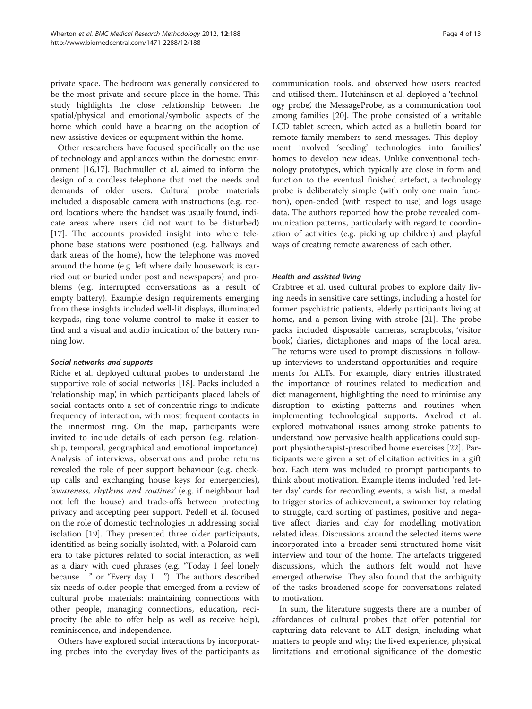private space. The bedroom was generally considered to be the most private and secure place in the home. This study highlights the close relationship between the spatial/physical and emotional/symbolic aspects of the home which could have a bearing on the adoption of new assistive devices or equipment within the home.

Other researchers have focused specifically on the use of technology and appliances within the domestic environment [[16,17\]](#page-12-0). Buchmuller et al. aimed to inform the design of a cordless telephone that met the needs and demands of older users. Cultural probe materials included a disposable camera with instructions (e.g. record locations where the handset was usually found, indicate areas where users did not want to be disturbed) [[17\]](#page-12-0). The accounts provided insight into where telephone base stations were positioned (e.g. hallways and dark areas of the home), how the telephone was moved around the home (e.g. left where daily housework is carried out or buried under post and newspapers) and problems (e.g. interrupted conversations as a result of empty battery). Example design requirements emerging from these insights included well-lit displays, illuminated keypads, ring tone volume control to make it easier to find and a visual and audio indication of the battery running low.

## Social networks and supports

Riche et al. deployed cultural probes to understand the supportive role of social networks [\[18\]](#page-12-0). Packs included a 'relationship map', in which participants placed labels of social contacts onto a set of concentric rings to indicate frequency of interaction, with most frequent contacts in the innermost ring. On the map, participants were invited to include details of each person (e.g. relationship, temporal, geographical and emotional importance). Analysis of interviews, observations and probe returns revealed the role of peer support behaviour (e.g. checkup calls and exchanging house keys for emergencies), 'awareness, rhythms and routines' (e.g. if neighbour had not left the house) and trade-offs between protecting privacy and accepting peer support. Pedell et al. focused on the role of domestic technologies in addressing social isolation [\[19](#page-12-0)]. They presented three older participants, identified as being socially isolated, with a Polaroid camera to take pictures related to social interaction, as well as a diary with cued phrases (e.g. "Today I feel lonely because..." or "Every day I..."). The authors described six needs of older people that emerged from a review of cultural probe materials: maintaining connections with other people, managing connections, education, reciprocity (be able to offer help as well as receive help), reminiscence, and independence.

Others have explored social interactions by incorporating probes into the everyday lives of the participants as

communication tools, and observed how users reacted and utilised them. Hutchinson et al. deployed a 'technology probe', the MessageProbe, as a communication tool among families [[20](#page-12-0)]. The probe consisted of a writable LCD tablet screen, which acted as a bulletin board for remote family members to send messages. This deployment involved 'seeding' technologies into families' homes to develop new ideas. Unlike conventional technology prototypes, which typically are close in form and function to the eventual finished artefact, a technology probe is deliberately simple (with only one main function), open-ended (with respect to use) and logs usage data. The authors reported how the probe revealed communication patterns, particularly with regard to coordination of activities (e.g. picking up children) and playful ways of creating remote awareness of each other.

## Health and assisted living

Crabtree et al. used cultural probes to explore daily living needs in sensitive care settings, including a hostel for former psychiatric patients, elderly participants living at home, and a person living with stroke [\[21](#page-12-0)]. The probe packs included disposable cameras, scrapbooks, 'visitor book', diaries, dictaphones and maps of the local area. The returns were used to prompt discussions in followup interviews to understand opportunities and requirements for ALTs. For example, diary entries illustrated the importance of routines related to medication and diet management, highlighting the need to minimise any disruption to existing patterns and routines when implementing technological supports. Axelrod et al. explored motivational issues among stroke patients to understand how pervasive health applications could support physiotherapist-prescribed home exercises [[22](#page-12-0)]. Participants were given a set of elicitation activities in a gift box. Each item was included to prompt participants to think about motivation. Example items included 'red letter day' cards for recording events, a wish list, a medal to trigger stories of achievement, a swimmer toy relating to struggle, card sorting of pastimes, positive and negative affect diaries and clay for modelling motivation related ideas. Discussions around the selected items were incorporated into a broader semi-structured home visit interview and tour of the home. The artefacts triggered discussions, which the authors felt would not have emerged otherwise. They also found that the ambiguity of the tasks broadened scope for conversations related to motivation.

In sum, the literature suggests there are a number of affordances of cultural probes that offer potential for capturing data relevant to ALT design, including what matters to people and why; the lived experience, physical limitations and emotional significance of the domestic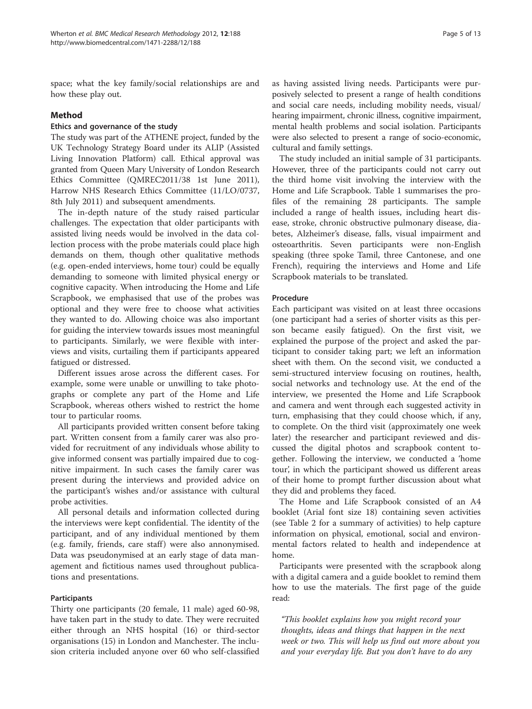space; what the key family/social relationships are and how these play out.

#### Method

#### Ethics and governance of the study

The study was part of the ATHENE project, funded by the UK Technology Strategy Board under its ALIP (Assisted Living Innovation Platform) call. Ethical approval was granted from Queen Mary University of London Research Ethics Committee (QMREC2011/38 1st June 2011), Harrow NHS Research Ethics Committee (11/LO/0737, 8th July 2011) and subsequent amendments.

The in-depth nature of the study raised particular challenges. The expectation that older participants with assisted living needs would be involved in the data collection process with the probe materials could place high demands on them, though other qualitative methods (e.g. open-ended interviews, home tour) could be equally demanding to someone with limited physical energy or cognitive capacity. When introducing the Home and Life Scrapbook, we emphasised that use of the probes was optional and they were free to choose what activities they wanted to do. Allowing choice was also important for guiding the interview towards issues most meaningful to participants. Similarly, we were flexible with interviews and visits, curtailing them if participants appeared fatigued or distressed.

Different issues arose across the different cases. For example, some were unable or unwilling to take photographs or complete any part of the Home and Life Scrapbook, whereas others wished to restrict the home tour to particular rooms.

All participants provided written consent before taking part. Written consent from a family carer was also provided for recruitment of any individuals whose ability to give informed consent was partially impaired due to cognitive impairment. In such cases the family carer was present during the interviews and provided advice on the participant's wishes and/or assistance with cultural probe activities.

All personal details and information collected during the interviews were kept confidential. The identity of the participant, and of any individual mentioned by them (e.g. family, friends, care staff ) were also annonymised. Data was pseudonymised at an early stage of data management and fictitious names used throughout publications and presentations.

## Participants

Thirty one participants (20 female, 11 male) aged 60-98, have taken part in the study to date. They were recruited either through an NHS hospital (16) or third-sector organisations (15) in London and Manchester. The inclusion criteria included anyone over 60 who self-classified

as having assisted living needs. Participants were purposively selected to present a range of health conditions and social care needs, including mobility needs, visual/ hearing impairment, chronic illness, cognitive impairment, mental health problems and social isolation. Participants were also selected to present a range of socio-economic, cultural and family settings.

The study included an initial sample of 31 participants. However, three of the participants could not carry out the third home visit involving the interview with the Home and Life Scrapbook. Table [1](#page-5-0) summarises the profiles of the remaining 28 participants. The sample included a range of health issues, including heart disease, stroke, chronic obstructive pulmonary disease, diabetes, Alzheimer's disease, falls, visual impairment and osteoarthritis. Seven participants were non-English speaking (three spoke Tamil, three Cantonese, and one French), requiring the interviews and Home and Life Scrapbook materials to be translated.

#### Procedure

Each participant was visited on at least three occasions (one participant had a series of shorter visits as this person became easily fatigued). On the first visit, we explained the purpose of the project and asked the participant to consider taking part; we left an information sheet with them. On the second visit, we conducted a semi-structured interview focusing on routines, health, social networks and technology use. At the end of the interview, we presented the Home and Life Scrapbook and camera and went through each suggested activity in turn, emphasising that they could choose which, if any, to complete. On the third visit (approximately one week later) the researcher and participant reviewed and discussed the digital photos and scrapbook content together. Following the interview, we conducted a 'home tour', in which the participant showed us different areas of their home to prompt further discussion about what they did and problems they faced.

The Home and Life Scrapbook consisted of an A4 booklet (Arial font size 18) containing seven activities (see Table [2](#page-5-0) for a summary of activities) to help capture information on physical, emotional, social and environmental factors related to health and independence at home.

Participants were presented with the scrapbook along with a digital camera and a guide booklet to remind them how to use the materials. The first page of the guide read:

"This booklet explains how you might record your thoughts, ideas and things that happen in the next week or two. This will help us find out more about you and your everyday life. But you don't have to do any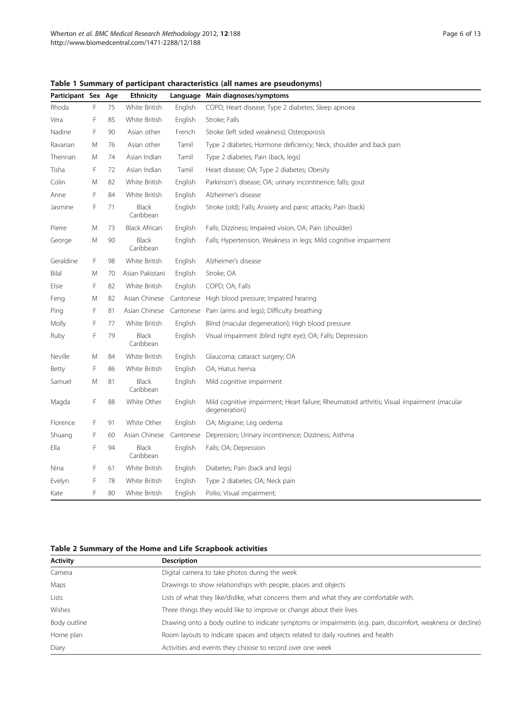| Participant Sex Age |   |    | <b>Ethnicity</b>          | Language  | Main diagnoses/symptoms                                                                                     |
|---------------------|---|----|---------------------------|-----------|-------------------------------------------------------------------------------------------------------------|
| Rhoda               |   | 75 | White British             | English   | COPD; Heart disease; Type 2 diabetes; Sleep apnoea                                                          |
| Vera                | F | 85 | White British             | English   | Stroke; Falls                                                                                               |
| Nadine              | F | 90 | Asian other               | French    | Stroke (left sided weakness); Osteoporosis                                                                  |
| Ravanan             | M | 76 | Asian other               | Tamil     | Type 2 diabetes; Hormone deficiency; Neck, shoulder and back pain                                           |
| Thennan             | M | 74 | Asian Indian              | Tamil     | Type 2 diabetes; Pain (back, legs)                                                                          |
| Tisha               | F | 72 | Asian Indian              | Tamil     | Heart disease; OA; Type 2 diabetes; Obesity                                                                 |
| Colin               | M | 82 | White British             | English   | Parkinson's disease; OA; urinary incontinence; falls; gout                                                  |
| Anne                | F | 84 | White British             | English   | Alzheimer's disease                                                                                         |
| Jasmine             | F | 71 | <b>Black</b><br>Caribbean | English   | Stroke (old); Falls; Anxiety and panic attacks; Pain (back)                                                 |
| Pierre              | M | 73 | <b>Black African</b>      | English   | Falls; Dizziness; Impaired vision, OA; Pain (shoulder)                                                      |
| George              | Μ | 90 | <b>Black</b><br>Caribbean | English   | Falls; Hypertension, Weakness in legs; Mild cognitive impairment                                            |
| Geraldine           | F | 98 | White British             | English   | Alzheimer's disease                                                                                         |
| Bilal               | Μ | 70 | Asian Pakistani           | English   | Stroke; OA                                                                                                  |
| Elsie               | F | 82 | White British             | English   | COPD; OA; Falls                                                                                             |
| Feng                | M | 82 | Asian Chinese             | Cantonese | High blood pressure; Impaired hearing                                                                       |
| Ping                | F | 81 | Asian Chinese             | Cantonese | Pain (arms and legs); Difficulty breathing                                                                  |
| Molly               | F | 77 | White British             | English   | Blind (macular degeneration); High blood pressure                                                           |
| Ruby                | F | 79 | Black<br>Caribbean        | English   | Visual impairment (blind right eye); OA; Falls; Depression                                                  |
| Neville             | M | 84 | White British             | English   | Glaucoma; cataract surgery; OA                                                                              |
| Betty               | F | 86 | White British             | English   | OA; Hiatus hernia                                                                                           |
| Samuel              | M | 81 | <b>Black</b><br>Caribbean | English   | Mild cognitive impairment                                                                                   |
| Magda               | F | 88 | White Other               | English   | Mild cognitive impairment; Heart failure; Rheumatoid arthritis; Visual impairment (macular<br>degeneration) |
| Florence            | F | 91 | White Other               | English   | OA; Migraine; Leg oedema                                                                                    |
| Shuang              | F | 60 | Asian Chinese             | Cantonese | Depression; Urinary incontinence; Dizziness; Asthma                                                         |
| Ella                | F | 94 | <b>Black</b><br>Caribbean | English   | Falls; OA; Depression                                                                                       |
| Nina                | F | 61 | White British             | English   | Diabetes; Pain (back and legs)                                                                              |
| Evelyn              | F | 78 | White British             | English   | Type 2 diabetes; OA; Neck pain                                                                              |
| Kate                | F | 80 | White British             | English   | Polio; Visual impairment;                                                                                   |

<span id="page-5-0"></span>Table 1 Summary of participant characteristics (all names are pseudonyms)

## Table 2 Summary of the Home and Life Scrapbook activities

| <b>Activity</b> | <b>Description</b>                                                                                           |
|-----------------|--------------------------------------------------------------------------------------------------------------|
| Camera          | Digital camera to take photos during the week                                                                |
| Maps            | Drawings to show relationships with people, places and objects                                               |
| Lists           | Lists of what they like/dislike, what concerns them and what they are comfortable with.                      |
| Wishes          | Three things they would like to improve or change about their lives                                          |
| Body outline    | Drawing onto a body outline to indicate symptoms or impairments (e.g. pain, discomfort, weakness or decline) |
| Home plan       | Room layouts to indicate spaces and objects related to daily routines and health                             |
| Diary           | Activities and events they choose to record over one week                                                    |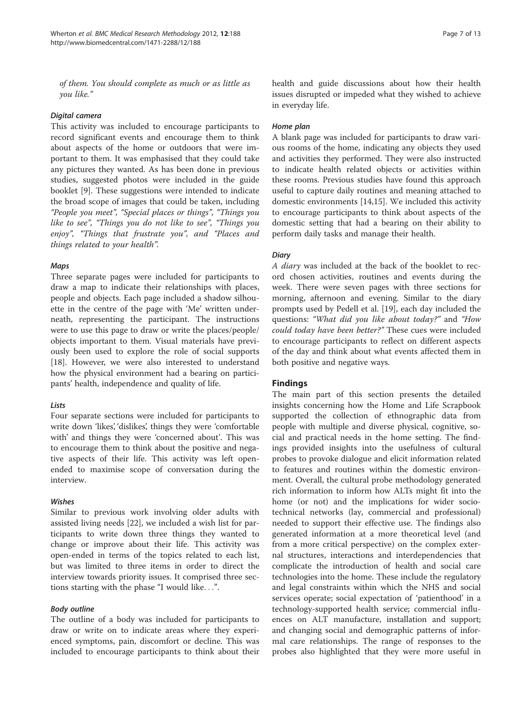of them. You should complete as much or as little as you like."

## Digital camera

This activity was included to encourage participants to record significant events and encourage them to think about aspects of the home or outdoors that were important to them. It was emphasised that they could take any pictures they wanted. As has been done in previous studies, suggested photos were included in the guide booklet [[9](#page-11-0)]. These suggestions were intended to indicate the broad scope of images that could be taken, including "People you meet", "Special places or things", "Things you like to see", "Things you do not like to see", "Things you enjoy", "Things that frustrate you", and "Places and things related to your health".

## Maps

Three separate pages were included for participants to draw a map to indicate their relationships with places, people and objects. Each page included a shadow silhouette in the centre of the page with 'Me' written underneath, representing the participant. The instructions were to use this page to draw or write the places/people/ objects important to them. Visual materials have previously been used to explore the role of social supports [[18\]](#page-12-0). However, we were also interested to understand how the physical environment had a bearing on participants' health, independence and quality of life.

## **Lists**

Four separate sections were included for participants to write down 'likes', 'dislikes', things they were 'comfortable with' and things they were 'concerned about'. This was to encourage them to think about the positive and negative aspects of their life. This activity was left openended to maximise scope of conversation during the interview.

## Wishes

Similar to previous work involving older adults with assisted living needs [\[22](#page-12-0)], we included a wish list for participants to write down three things they wanted to change or improve about their life. This activity was open-ended in terms of the topics related to each list, but was limited to three items in order to direct the interview towards priority issues. It comprised three sections starting with the phase "I would like...".

#### Body outline

The outline of a body was included for participants to draw or write on to indicate areas where they experienced symptoms, pain, discomfort or decline. This was included to encourage participants to think about their health and guide discussions about how their health issues disrupted or impeded what they wished to achieve in everyday life.

## Home plan

A blank page was included for participants to draw various rooms of the home, indicating any objects they used and activities they performed. They were also instructed to indicate health related objects or activities within these rooms. Previous studies have found this approach useful to capture daily routines and meaning attached to domestic environments [[14](#page-11-0),[15](#page-11-0)]. We included this activity to encourage participants to think about aspects of the domestic setting that had a bearing on their ability to perform daily tasks and manage their health.

## **Diary**

A diary was included at the back of the booklet to record chosen activities, routines and events during the week. There were seven pages with three sections for morning, afternoon and evening. Similar to the diary prompts used by Pedell et al. [[19](#page-12-0)], each day included the questions: "What did you like about today?" and "How could today have been better?" These cues were included to encourage participants to reflect on different aspects of the day and think about what events affected them in both positive and negative ways.

## Findings

The main part of this section presents the detailed insights concerning how the Home and Life Scrapbook supported the collection of ethnographic data from people with multiple and diverse physical, cognitive, social and practical needs in the home setting. The findings provided insights into the usefulness of cultural probes to provoke dialogue and elicit information related to features and routines within the domestic environment. Overall, the cultural probe methodology generated rich information to inform how ALTs might fit into the home (or not) and the implications for wider sociotechnical networks (lay, commercial and professional) needed to support their effective use. The findings also generated information at a more theoretical level (and from a more critical perspective) on the complex external structures, interactions and interdependencies that complicate the introduction of health and social care technologies into the home. These include the regulatory and legal constraints within which the NHS and social services operate; social expectation of 'patienthood' in a technology-supported health service; commercial influences on ALT manufacture, installation and support; and changing social and demographic patterns of informal care relationships. The range of responses to the probes also highlighted that they were more useful in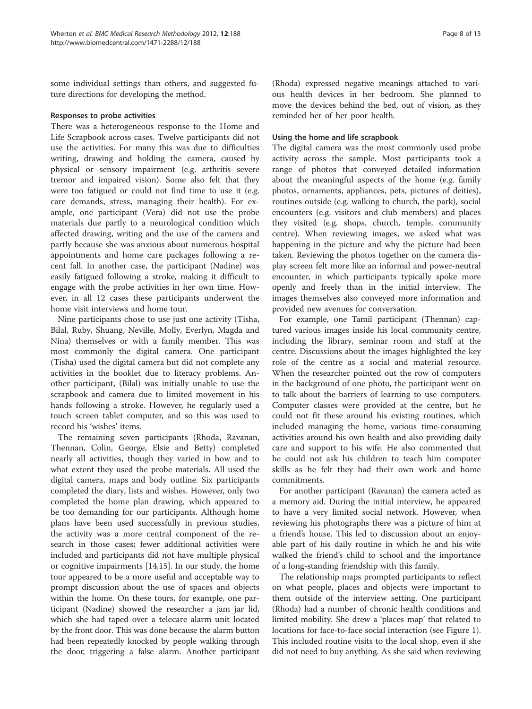some individual settings than others, and suggested future directions for developing the method.

#### Responses to probe activities

There was a heterogeneous response to the Home and Life Scrapbook across cases. Twelve participants did not use the activities. For many this was due to difficulties writing, drawing and holding the camera, caused by physical or sensory impairment (e.g. arthritis severe tremor and impaired vision). Some also felt that they were too fatigued or could not find time to use it (e.g. care demands, stress, managing their health). For example, one participant (Vera) did not use the probe materials due partly to a neurological condition which affected drawing, writing and the use of the camera and partly because she was anxious about numerous hospital appointments and home care packages following a recent fall. In another case, the participant (Nadine) was easily fatigued following a stroke, making it difficult to engage with the probe activities in her own time. However, in all 12 cases these participants underwent the home visit interviews and home tour.

Nine participants chose to use just one activity (Tisha, Bilal, Ruby, Shuang, Neville, Molly, Everlyn, Magda and Nina) themselves or with a family member. This was most commonly the digital camera. One participant (Tisha) used the digital camera but did not complete any activities in the booklet due to literacy problems. Another participant, (Bilal) was initially unable to use the scrapbook and camera due to limited movement in his hands following a stroke. However, he regularly used a touch screen tablet computer, and so this was used to record his 'wishes' items.

The remaining seven participants (Rhoda, Ravanan, Thennan, Colin, George, Elsie and Betty) completed nearly all activities, though they varied in how and to what extent they used the probe materials. All used the digital camera, maps and body outline. Six participants completed the diary, lists and wishes. However, only two completed the home plan drawing, which appeared to be too demanding for our participants. Although home plans have been used successfully in previous studies, the activity was a more central component of the research in those cases; fewer additional activities were included and participants did not have multiple physical or cognitive impairments [[14,15\]](#page-11-0). In our study, the home tour appeared to be a more useful and acceptable way to prompt discussion about the use of spaces and objects within the home. On these tours, for example, one participant (Nadine) showed the researcher a jam jar lid, which she had taped over a telecare alarm unit located by the front door. This was done because the alarm button had been repeatedly knocked by people walking through the door, triggering a false alarm. Another participant (Rhoda) expressed negative meanings attached to various health devices in her bedroom. She planned to move the devices behind the bed, out of vision, as they reminded her of her poor health.

#### Using the home and life scrapbook

The digital camera was the most commonly used probe activity across the sample. Most participants took a range of photos that conveyed detailed information about the meaningful aspects of the home (e.g. family photos, ornaments, appliances, pets, pictures of deities), routines outside (e.g. walking to church, the park), social encounters (e.g. visitors and club members) and places they visited (e.g. shops, church, temple, community centre). When reviewing images, we asked what was happening in the picture and why the picture had been taken. Reviewing the photos together on the camera display screen felt more like an informal and power-neutral encounter, in which participants typically spoke more openly and freely than in the initial interview. The images themselves also conveyed more information and provided new avenues for conversation.

For example, one Tamil participant (Thennan) captured various images inside his local community centre, including the library, seminar room and staff at the centre. Discussions about the images highlighted the key role of the centre as a social and material resource. When the researcher pointed out the row of computers in the background of one photo, the participant went on to talk about the barriers of learning to use computers. Computer classes were provided at the centre, but he could not fit these around his existing routines, which included managing the home, various time-consuming activities around his own health and also providing daily care and support to his wife. He also commented that he could not ask his children to teach him computer skills as he felt they had their own work and home commitments.

For another participant (Ravanan) the camera acted as a memory aid. During the initial interview, he appeared to have a very limited social network. However, when reviewing his photographs there was a picture of him at a friend's house. This led to discussion about an enjoyable part of his daily routine in which he and his wife walked the friend's child to school and the importance of a long-standing friendship with this family.

The relationship maps prompted participants to reflect on what people, places and objects were important to them outside of the interview setting. One participant (Rhoda) had a number of chronic health conditions and limited mobility. She drew a 'places map' that related to locations for face-to-face social interaction (see Figure [1](#page-8-0)). This included routine visits to the local shop, even if she did not need to buy anything. As she said when reviewing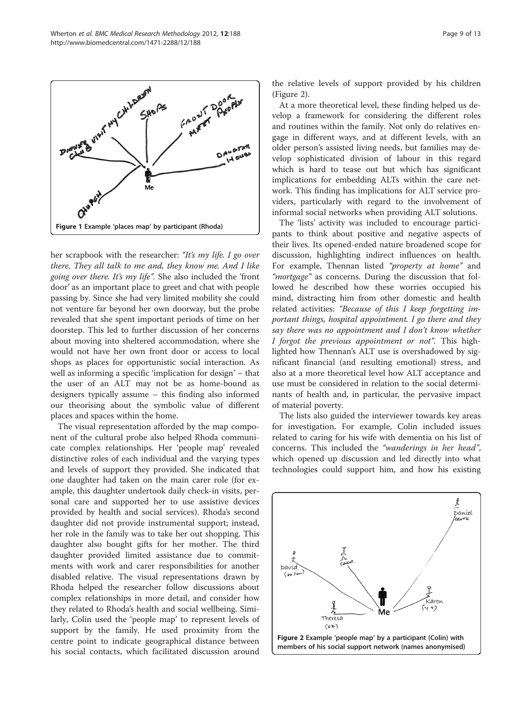FRONT D ADALI-

> DANGTH Y OUS

<span id="page-8-0"></span>Burnt Hy CHILDRES



Me

The visual representation afforded by the map component of the cultural probe also helped Rhoda communicate complex relationships. Her 'people map' revealed distinctive roles of each individual and the varying types and levels of support they provided. She indicated that one daughter had taken on the main carer role (for example, this daughter undertook daily check-in visits, personal care and supported her to use assistive devices provided by health and social services). Rhoda's second daughter did not provide instrumental support; instead, her role in the family was to take her out shopping. This daughter also bought gifts for her mother. The third daughter provided limited assistance due to commitments with work and carer responsibilities for another disabled relative. The visual representations drawn by Rhoda helped the researcher follow discussions about complex relationships in more detail, and consider how they related to Rhoda's health and social wellbeing. Similarly, Colin used the 'people map' to represent levels of support by the family. He used proximity from the centre point to indicate geographical distance between his social contacts, which facilitated discussion around

the relative levels of support provided by his children (Figure 2).

At a more theoretical level, these finding helped us develop a framework for considering the different roles and routines within the family. Not only do relatives engage in different ways, and at different levels, with an older person's assisted living needs, but families may develop sophisticated division of labour in this regard which is hard to tease out but which has significant implications for embedding ALTs within the care network. This finding has implications for ALT service providers, particularly with regard to the involvement of informal social networks when providing ALT solutions.

The 'lists' activity was included to encourage participants to think about positive and negative aspects of their lives. Its opened-ended nature broadened scope for discussion, highlighting indirect influences on health. For example, Thennan listed "property at home" and "mortgage" as concerns. During the discussion that followed he described how these worries occupied his mind, distracting him from other domestic and health related activities: "Because of this I keep forgetting important things, hospital appointment. I go there and they say there was no appointment and I don't know whether I forgot the previous appointment or not". This highlighted how Thennan's ALT use is overshadowed by significant financial (and resulting emotional) stress, and also at a more theoretical level how ALT acceptance and use must be considered in relation to the social determinants of health and, in particular, the pervasive impact of material poverty.

The lists also guided the interviewer towards key areas for investigation. For example, Colin included issues related to caring for his wife with dementia on his list of concerns. This included the "wanderings in her head", which opened up discussion and led directly into what technologies could support him, and how his existing

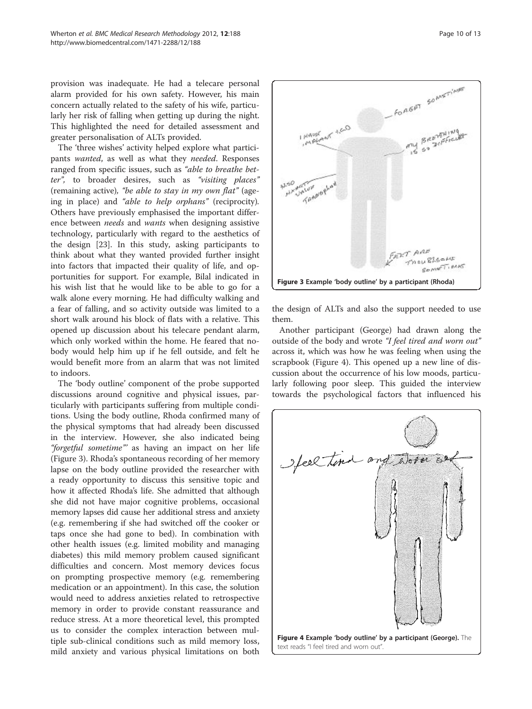provision was inadequate. He had a telecare personal alarm provided for his own safety. However, his main concern actually related to the safety of his wife, particularly her risk of falling when getting up during the night. This highlighted the need for detailed assessment and greater personalisation of ALTs provided.

The 'three wishes' activity helped explore what participants wanted, as well as what they needed. Responses ranged from specific issues, such as "able to breathe better", to broader desires, such as "visiting places" (remaining active), "be able to stay in my own flat" (ageing in place) and "able to help orphans" (reciprocity). Others have previously emphasised the important difference between needs and wants when designing assistive technology, particularly with regard to the aesthetics of the design [[23](#page-12-0)]. In this study, asking participants to think about what they wanted provided further insight into factors that impacted their quality of life, and opportunities for support. For example, Bilal indicated in his wish list that he would like to be able to go for a walk alone every morning. He had difficulty walking and a fear of falling, and so activity outside was limited to a short walk around his block of flats with a relative. This opened up discussion about his telecare pendant alarm, which only worked within the home. He feared that nobody would help him up if he fell outside, and felt he would benefit more from an alarm that was not limited to indoors.

The 'body outline' component of the probe supported discussions around cognitive and physical issues, particularly with participants suffering from multiple conditions. Using the body outline, Rhoda confirmed many of the physical symptoms that had already been discussed in the interview. However, she also indicated being "forgetful sometime" as having an impact on her life (Figure 3). Rhoda's spontaneous recording of her memory lapse on the body outline provided the researcher with a ready opportunity to discuss this sensitive topic and how it affected Rhoda's life. She admitted that although she did not have major cognitive problems, occasional memory lapses did cause her additional stress and anxiety (e.g. remembering if she had switched off the cooker or taps once she had gone to bed). In combination with other health issues (e.g. limited mobility and managing diabetes) this mild memory problem caused significant difficulties and concern. Most memory devices focus on prompting prospective memory (e.g. remembering medication or an appointment). In this case, the solution would need to address anxieties related to retrospective memory in order to provide constant reassurance and reduce stress. At a more theoretical level, this prompted us to consider the complex interaction between multiple sub-clinical conditions such as mild memory loss, mild anxiety and various physical limitations on both



the design of ALTs and also the support needed to use them.

Another participant (George) had drawn along the outside of the body and wrote "I feel tired and worn out" across it, which was how he was feeling when using the scrapbook (Figure 4). This opened up a new line of discussion about the occurrence of his low moods, particularly following poor sleep. This guided the interview towards the psychological factors that influenced his

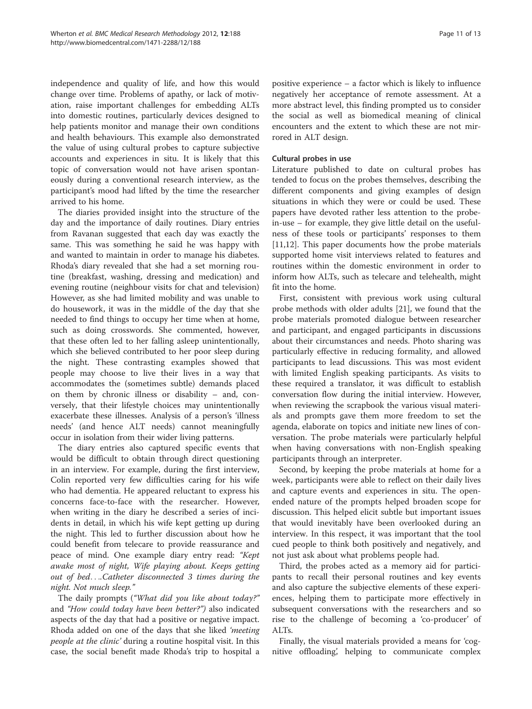independence and quality of life, and how this would change over time. Problems of apathy, or lack of motivation, raise important challenges for embedding ALTs into domestic routines, particularly devices designed to help patients monitor and manage their own conditions and health behaviours. This example also demonstrated the value of using cultural probes to capture subjective accounts and experiences in situ. It is likely that this topic of conversation would not have arisen spontaneously during a conventional research interview, as the participant's mood had lifted by the time the researcher arrived to his home.

The diaries provided insight into the structure of the day and the importance of daily routines. Diary entries from Ravanan suggested that each day was exactly the same. This was something he said he was happy with and wanted to maintain in order to manage his diabetes. Rhoda's diary revealed that she had a set morning routine (breakfast, washing, dressing and medication) and evening routine (neighbour visits for chat and television) However, as she had limited mobility and was unable to do housework, it was in the middle of the day that she needed to find things to occupy her time when at home, such as doing crosswords. She commented, however, that these often led to her falling asleep unintentionally, which she believed contributed to her poor sleep during the night. These contrasting examples showed that people may choose to live their lives in a way that accommodates the (sometimes subtle) demands placed on them by chronic illness or disability – and, conversely, that their lifestyle choices may unintentionally exacerbate these illnesses. Analysis of a person's 'illness needs' (and hence ALT needs) cannot meaningfully occur in isolation from their wider living patterns.

The diary entries also captured specific events that would be difficult to obtain through direct questioning in an interview. For example, during the first interview, Colin reported very few difficulties caring for his wife who had dementia. He appeared reluctant to express his concerns face-to-face with the researcher. However, when writing in the diary he described a series of incidents in detail, in which his wife kept getting up during the night. This led to further discussion about how he could benefit from telecare to provide reassurance and peace of mind. One example diary entry read: "Kept awake most of night, Wife playing about. Keeps getting out of bed....Catheter disconnected 3 times during the night. Not much sleep."

The daily prompts ("What did you like about today?" and "How could today have been better?") also indicated aspects of the day that had a positive or negative impact. Rhoda added on one of the days that she liked 'meeting people at the clinic' during a routine hospital visit. In this case, the social benefit made Rhoda's trip to hospital a positive experience – a factor which is likely to influence negatively her acceptance of remote assessment. At a more abstract level, this finding prompted us to consider the social as well as biomedical meaning of clinical encounters and the extent to which these are not mirrored in ALT design.

## Cultural probes in use

Literature published to date on cultural probes has tended to focus on the probes themselves, describing the different components and giving examples of design situations in which they were or could be used. These papers have devoted rather less attention to the probein-use – for example, they give little detail on the usefulness of these tools or participants' responses to them [[11,12\]](#page-11-0). This paper documents how the probe materials supported home visit interviews related to features and routines within the domestic environment in order to inform how ALTs, such as telecare and telehealth, might fit into the home.

First, consistent with previous work using cultural probe methods with older adults [\[21](#page-12-0)], we found that the probe materials promoted dialogue between researcher and participant, and engaged participants in discussions about their circumstances and needs. Photo sharing was particularly effective in reducing formality, and allowed participants to lead discussions. This was most evident with limited English speaking participants. As visits to these required a translator, it was difficult to establish conversation flow during the initial interview. However, when reviewing the scrapbook the various visual materials and prompts gave them more freedom to set the agenda, elaborate on topics and initiate new lines of conversation. The probe materials were particularly helpful when having conversations with non-English speaking participants through an interpreter.

Second, by keeping the probe materials at home for a week, participants were able to reflect on their daily lives and capture events and experiences in situ. The openended nature of the prompts helped broaden scope for discussion. This helped elicit subtle but important issues that would inevitably have been overlooked during an interview. In this respect, it was important that the tool cued people to think both positively and negatively, and not just ask about what problems people had.

Third, the probes acted as a memory aid for participants to recall their personal routines and key events and also capture the subjective elements of these experiences, helping them to participate more effectively in subsequent conversations with the researchers and so rise to the challenge of becoming a 'co-producer' of ALTs.

Finally, the visual materials provided a means for 'cognitive offloading', helping to communicate complex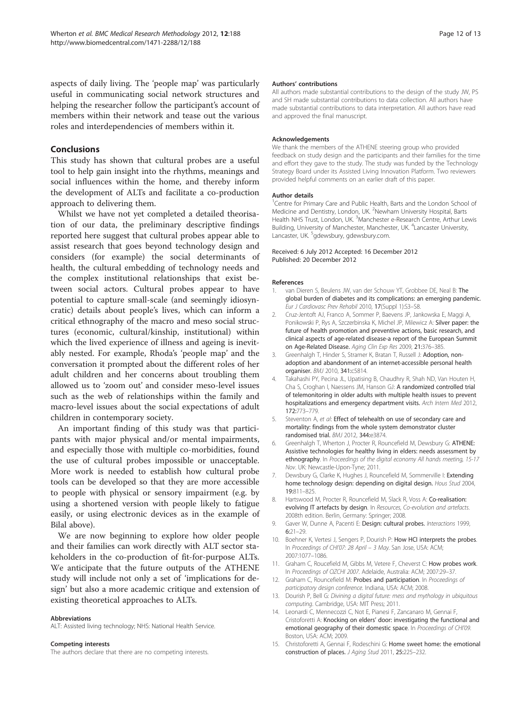<span id="page-11-0"></span>aspects of daily living. The 'people map' was particularly useful in communicating social network structures and helping the researcher follow the participant's account of members within their network and tease out the various roles and interdependencies of members within it.

#### Conclusions

This study has shown that cultural probes are a useful tool to help gain insight into the rhythms, meanings and social influences within the home, and thereby inform the development of ALTs and facilitate a co-production approach to delivering them.

Whilst we have not yet completed a detailed theorisation of our data, the preliminary descriptive findings reported here suggest that cultural probes appear able to assist research that goes beyond technology design and considers (for example) the social determinants of health, the cultural embedding of technology needs and the complex institutional relationships that exist between social actors. Cultural probes appear to have potential to capture small-scale (and seemingly idiosyncratic) details about people's lives, which can inform a critical ethnography of the macro and meso social structures (economic, cultural/kinship, institutional) within which the lived experience of illness and ageing is inevitably nested. For example, Rhoda's 'people map' and the conversation it prompted about the different roles of her adult children and her concerns about troubling them allowed us to 'zoom out' and consider meso-level issues such as the web of relationships within the family and macro-level issues about the social expectations of adult children in contemporary society.

An important finding of this study was that participants with major physical and/or mental impairments, and especially those with multiple co-morbidities, found the use of cultural probes impossible or unacceptable. More work is needed to establish how cultural probe tools can be developed so that they are more accessible to people with physical or sensory impairment (e.g. by using a shortened version with people likely to fatigue easily, or using electronic devices as in the example of Bilal above).

We are now beginning to explore how older people and their families can work directly with ALT sector stakeholders in the co-production of fit-for-purpose ALTs. We anticipate that the future outputs of the ATHENE study will include not only a set of 'implications for design' but also a more academic critique and extension of existing theoretical approaches to ALTs.

#### Abbreviations

ALT: Assisted living technology; NHS: National Health Service.

#### Competing interests

The authors declare that there are no competing interests.

#### Authors' contributions

All authors made substantial contributions to the design of the study JW, PS and SH made substantial contributions to data collection. All authors have made substantial contributions to data interpretation. All authors have read and approved the final manuscript.

#### Acknowledgements

We thank the members of the ATHENE steering group who provided feedback on study design and the participants and their families for the time and effort they gave to the study. The study was funded by the Technology Strategy Board under its Assisted Living Innovation Platform. Two reviewers provided helpful comments on an earlier draft of this paper.

#### Author details

<sup>1</sup> Centre for Primary Care and Public Health, Barts and the London School of Medicine and Dentistry, London, UK. <sup>2</sup>Newham University Hospital, Barts Health NHS Trust, London, UK.<sup>3</sup> Manchester e-Research Centre, Arthur Lewis Building, University of Manchester, Manchester, UK. <sup>4</sup> Lancaster University, Lancaster, UK. <sup>5</sup>gdewsbury, gdewsbury.com.

#### Received: 6 July 2012 Accepted: 16 December 2012 Published: 20 December 2012

#### References

- van Dieren S, Beulens JW, van der Schouw YT, Grobbee DE, Neal B: The global burden of diabetes and its complications: an emerging pandemic. Eur J Cardiovasc Prev Rehabil 2010, 17(Suppl 1):S3–S8.
- 2. Cruz-Jentoft AJ, Franco A, Sommer P, Baevens JP, Jankowska E, Maggi A, Ponikowski P, Rys A, Szczerbinska K, Michel JP, Milewicz A: Silver paper: the future of health promotion and preventive actions, basic research, and clinical aspects of age-related disease-a report of the European Summit on Age-Related Disease. Aging Clin Exp Res 2009, 21:376–385.
- 3. Greenhalgh T, Hinder S, Stramer K, Bratan T, Russell J: Adoption, nonadoption and abandonment of an internet-accessible personal health organiser. BMJ 2010, 341:c5814.
- 4. Takahashi PY, Pecina JL, Upatising B, Chaudhry R, Shah ND, Van Houten H, Cha S, Croghan I, Naessens JM, Hanson GJ: A randomized controlled trial of telemonitoring in older adults with multiple health issues to prevent hospitalizations and emergency department visits. Arch Intern Med 2012, 172:773–779.
- 5. Steventon A, et al: Effect of telehealth on use of secondary care and mortality: findings from the whole system demonstrator cluster randomised trial. BMJ 2012, 344:e3874.
- 6. Greenhalgh T, Wherton J, Procter R, Rouncefield M, Dewsbury G: ATHENE: Assistive technologies for healthy living in elders: needs assessment by ethnography. In Proceedings of the digital economy All hands meeting, 15-17 Nov. UK: Newcastle-Upon-Tyne; 2011.
- 7. Dewsbury G, Clarke K, Hughes J, Rouncefield M, Sommerville I: Extending home technology design: depending on digital design. Hous Stud 2004, 19:811–825.
- 8. Hartswood M, Procter R, Rouncefield M, Slack R, Voss A: Co-realisation: evolving IT artefacts by design. In Resources, Co-evolution and artefacts. 2008th edition. Berlin, Germany: Springer; 2008.
- Gaver W, Dunne A, Pacenti E: Design: cultural probes. Interactions 1999, 6:21–29.
- 10. Boehner K, Vertesi J, Sengers P, Dourish P: How HCI interprets the probes. In Proceedings of CHI'07: 28 April – 3 May. San Jose, USA: ACM; 2007:1077–1086.
- 11. Graham C, Roucefield M, Gibbs M, Vetere F, Cheverst C: How probes work. In Proceedings of OZCHI 2007. Adelaide, Australia: ACM; 2007:29–37.
- 12. Graham C, Rouncefield M: Probes and participation. In Proceedings of participatory design conference. Indiana, USA: ACM; 2008.
- 13. Dourish P, Bell G: Divining a digital future: mess and mythology in ubiquitous computing. Cambridge, USA: MIT Press; 2011.
- 14. Leonardi C, Mennecozzi C, Not E, Pianesi F, Zancanaro M, Gennai F, Cristoforetti A: Knocking on elders' door: investigating the functional and emotional geography of their domestic space. In Proceedings of CHI'09. Boston, USA: ACM; 2009.
- 15. Christoforetti A, Gennai F, Rodeschini G: Home sweet home: the emotional construction of places. J Aging Stud 2011, 25:225–232.